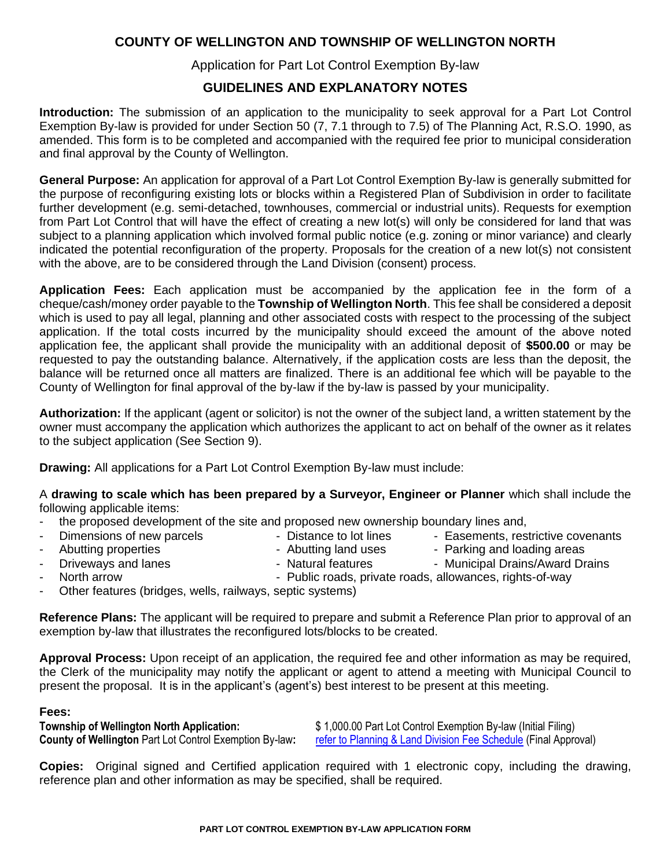# **COUNTY OF WELLINGTON AND TOWNSHIP OF WELLINGTON NORTH**

#### Application for Part Lot Control Exemption By-law

# **GUIDELINES AND EXPLANATORY NOTES**

**Introduction:** The submission of an application to the municipality to seek approval for a Part Lot Control Exemption By-law is provided for under Section 50 (7, 7.1 through to 7.5) of The Planning Act, R.S.O. 1990, as amended. This form is to be completed and accompanied with the required fee prior to municipal consideration and final approval by the County of Wellington.

**General Purpose:** An application for approval of a Part Lot Control Exemption By-law is generally submitted for the purpose of reconfiguring existing lots or blocks within a Registered Plan of Subdivision in order to facilitate further development (e.g. semi-detached, townhouses, commercial or industrial units). Requests for exemption from Part Lot Control that will have the effect of creating a new lot(s) will only be considered for land that was subject to a planning application which involved formal public notice (e.g. zoning or minor variance) and clearly indicated the potential reconfiguration of the property. Proposals for the creation of a new lot(s) not consistent with the above, are to be considered through the Land Division (consent) process.

**Application Fees:** Each application must be accompanied by the application fee in the form of a cheque/cash/money order payable to the **Township of Wellington North**. This fee shall be considered a deposit which is used to pay all legal, planning and other associated costs with respect to the processing of the subject application. If the total costs incurred by the municipality should exceed the amount of the above noted application fee, the applicant shall provide the municipality with an additional deposit of **\$500.00** or may be requested to pay the outstanding balance. Alternatively, if the application costs are less than the deposit, the balance will be returned once all matters are finalized. There is an additional fee which will be payable to the County of Wellington for final approval of the by-law if the by-law is passed by your municipality.

**Authorization:** If the applicant (agent or solicitor) is not the owner of the subject land, a written statement by the owner must accompany the application which authorizes the applicant to act on behalf of the owner as it relates to the subject application (See Section 9).

**Drawing:** All applications for a Part Lot Control Exemption By-law must include:

A **drawing to scale which has been prepared by a Surveyor, Engineer or Planner** which shall include the following applicable items:

- the proposed development of the site and proposed new ownership boundary lines and,
- Dimensions of new parcels Distance to lot lines Easements, restrictive covenants
- 
- 
- Dimensions of hew parcels<br>Abutting properties Abutting land uses Parking and loading areas<br>Abutting properties
- 
- 
- Driveways and lanes  **Alatural features** Municipal Drains/Award Drains
- 
- 
- North arrow **North arrow** Public roads, private roads, allowances, rights-of-way
- Other features (bridges, wells, railways, septic systems)

**Reference Plans:** The applicant will be required to prepare and submit a Reference Plan prior to approval of an exemption by-law that illustrates the reconfigured lots/blocks to be created.

**Approval Process:** Upon receipt of an application, the required fee and other information as may be required, the Clerk of the municipality may notify the applicant or agent to attend a meeting with Municipal Council to present the proposal. It is in the applicant's (agent's) best interest to be present at this meeting.

#### **Fees:**

**Township of Wellington North Application:** \$ 1,000.00 Part Lot Control Exemption By-law (Initial Filing)

**County of Wellington** Part Lot Control Exemption By-law**:** [refer to Planning & Land Division Fee Schedule](https://www.wellington.ca/en/resources/Planning-2022-user-fees.pdf) (Final Approval)

**Copies:** Original signed and Certified application required with 1 electronic copy, including the drawing, reference plan and other information as may be specified, shall be required.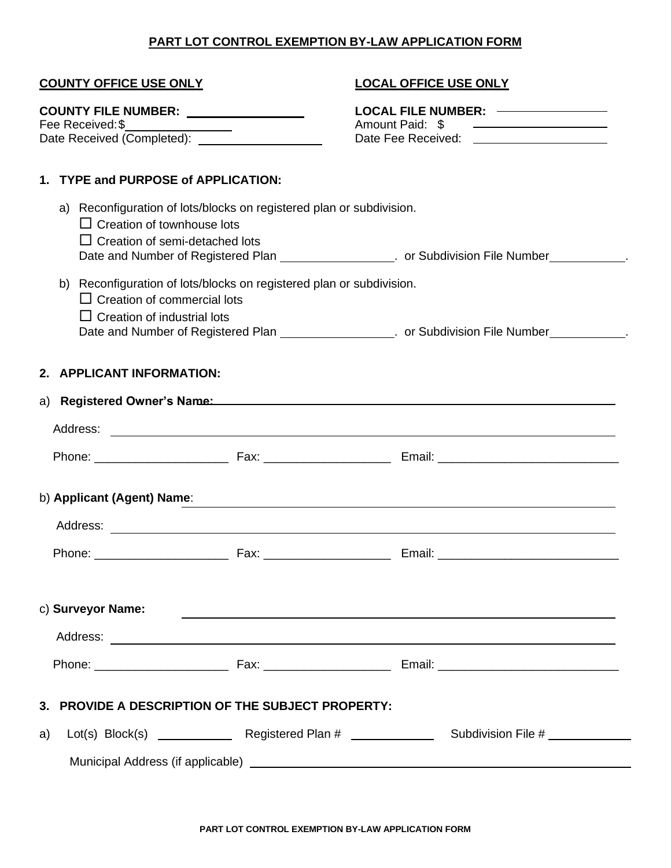## **PART LOT CONTROL EXEMPTION BY-LAW APPLICATION FORM**

| <b>COUNTY OFFICE USE ONLY</b>                                                                                                                      | <b>LOCAL OFFICE USE ONLY</b>                                                                       |  |  |  |
|----------------------------------------------------------------------------------------------------------------------------------------------------|----------------------------------------------------------------------------------------------------|--|--|--|
| COUNTY FILE NUMBER: _______________<br>Fee Received: \$__________________<br>Date Received (Completed): National Completed (Completed):            | Amount Paid: \$<br>Date Fee Received: ________________________                                     |  |  |  |
| 1. TYPE and PURPOSE of APPLICATION:                                                                                                                |                                                                                                    |  |  |  |
| a) Reconfiguration of lots/blocks on registered plan or subdivision.<br>$\Box$ Creation of townhouse lots<br>$\Box$ Creation of semi-detached lots | Date and Number of Registered Plan _________________. or Subdivision File Number___________.       |  |  |  |
| b) Reconfiguration of lots/blocks on registered plan or subdivision.<br>$\Box$ Creation of commercial lots<br>$\Box$ Creation of industrial lots   |                                                                                                    |  |  |  |
|                                                                                                                                                    | Date and Number of Registered Plan _________________. or Subdivision File Number___________.       |  |  |  |
| 2. APPLICANT INFORMATION:                                                                                                                          |                                                                                                    |  |  |  |
|                                                                                                                                                    |                                                                                                    |  |  |  |
|                                                                                                                                                    |                                                                                                    |  |  |  |
|                                                                                                                                                    |                                                                                                    |  |  |  |
| b) Applicant (Agent) Name:<br><u> 1989 - Johann Stoff, amerikansk politiker (d. 1989)</u>                                                          |                                                                                                    |  |  |  |
|                                                                                                                                                    |                                                                                                    |  |  |  |
|                                                                                                                                                    |                                                                                                    |  |  |  |
| c) Surveyor Name:<br><u> 1989 - Johann Harry Harry Harry Harry Harry Harry Harry Harry Harry Harry Harry Harry Harry Harry Harry Harry</u>         |                                                                                                    |  |  |  |
|                                                                                                                                                    |                                                                                                    |  |  |  |
|                                                                                                                                                    |                                                                                                    |  |  |  |
| 3. PROVIDE A DESCRIPTION OF THE SUBJECT PROPERTY:                                                                                                  |                                                                                                    |  |  |  |
| a)                                                                                                                                                 | Lot(s) Block(s) _______________ Registered Plan # ________________ Subdivision File # ____________ |  |  |  |
|                                                                                                                                                    |                                                                                                    |  |  |  |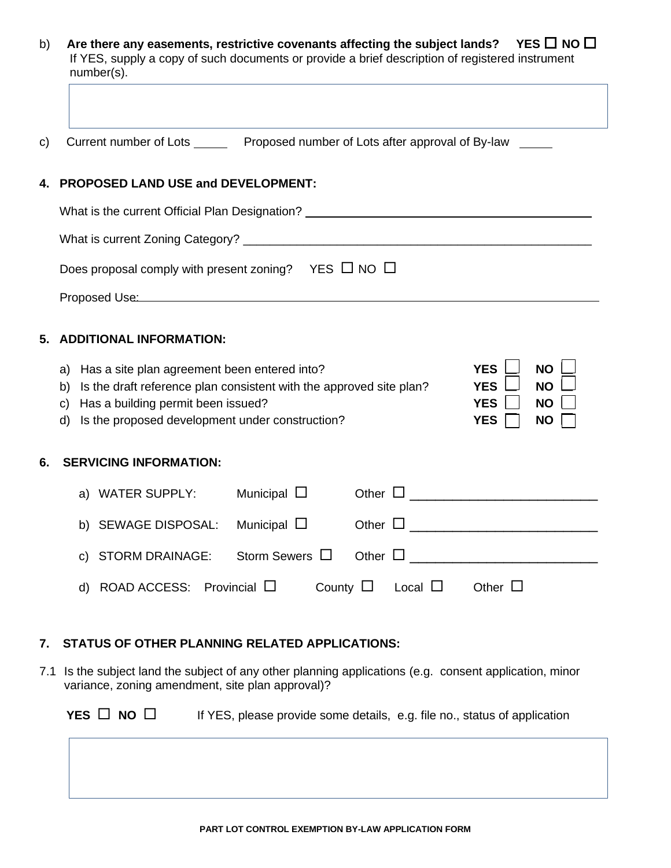| b)                                                                                                                                                                                                                                                                                                                                                                                                                                                                                                                                        | Are there any easements, restrictive covenants affecting the subject lands? YES $\Box$ NO $\Box$<br>If YES, supply a copy of such documents or provide a brief description of registered instrument<br>number(s). |  |  |
|-------------------------------------------------------------------------------------------------------------------------------------------------------------------------------------------------------------------------------------------------------------------------------------------------------------------------------------------------------------------------------------------------------------------------------------------------------------------------------------------------------------------------------------------|-------------------------------------------------------------------------------------------------------------------------------------------------------------------------------------------------------------------|--|--|
| C)                                                                                                                                                                                                                                                                                                                                                                                                                                                                                                                                        | Current number of Lots _______ Proposed number of Lots after approval of By-law                                                                                                                                   |  |  |
|                                                                                                                                                                                                                                                                                                                                                                                                                                                                                                                                           | 4. PROPOSED LAND USE and DEVELOPMENT:                                                                                                                                                                             |  |  |
|                                                                                                                                                                                                                                                                                                                                                                                                                                                                                                                                           | What is the current Official Plan Designation? __________________________________                                                                                                                                 |  |  |
|                                                                                                                                                                                                                                                                                                                                                                                                                                                                                                                                           |                                                                                                                                                                                                                   |  |  |
|                                                                                                                                                                                                                                                                                                                                                                                                                                                                                                                                           | Does proposal comply with present zoning? YES $\Box$ NO $\Box$                                                                                                                                                    |  |  |
|                                                                                                                                                                                                                                                                                                                                                                                                                                                                                                                                           | Proposed Use: Note: Note: Note: Note: Note: Note: Note: Note: Note: Note: Note: Note: Note: Note: No                                                                                                              |  |  |
| <b>ADDITIONAL INFORMATION:</b><br>5.<br><b>NO</b><br><b>YES</b><br>a) Has a site plan agreement been entered into?<br><b>NO</b><br>b) Is the draft reference plan consistent with the approved site plan?<br><b>YES</b><br>c) Has a building permit been issued?<br><b>YES</b><br><b>NO</b><br>Is the proposed development under construction?<br><b>YES</b><br><b>NO</b><br>d)<br><b>SERVICING INFORMATION:</b><br>6.<br>Municipal $\Box$<br>Other $\Box$<br>a) WATER SUPPLY:<br>b) SEWAGE DISPOSAL: Municipal $\Box$<br>Other $\square$ |                                                                                                                                                                                                                   |  |  |
|                                                                                                                                                                                                                                                                                                                                                                                                                                                                                                                                           | c) STORM DRAINAGE: Storm Sewers $\Box$                                                                                                                                                                            |  |  |
|                                                                                                                                                                                                                                                                                                                                                                                                                                                                                                                                           | County $\Box$<br>Other $\square$<br>d) ROAD ACCESS: Provincial $\Box$<br>Local $\Box$                                                                                                                             |  |  |
| 7.                                                                                                                                                                                                                                                                                                                                                                                                                                                                                                                                        | STATUS OF OTHER PLANNING RELATED APPLICATIONS:                                                                                                                                                                    |  |  |
|                                                                                                                                                                                                                                                                                                                                                                                                                                                                                                                                           | 7.1 Is the subject land the subject of any other planning applications (e.g. consent application, minor<br>variance, zoning amendment, site plan approval)?                                                       |  |  |
|                                                                                                                                                                                                                                                                                                                                                                                                                                                                                                                                           | YES $\Box$ No $\Box$<br>If YES, please provide some details, e.g. file no., status of application                                                                                                                 |  |  |
|                                                                                                                                                                                                                                                                                                                                                                                                                                                                                                                                           |                                                                                                                                                                                                                   |  |  |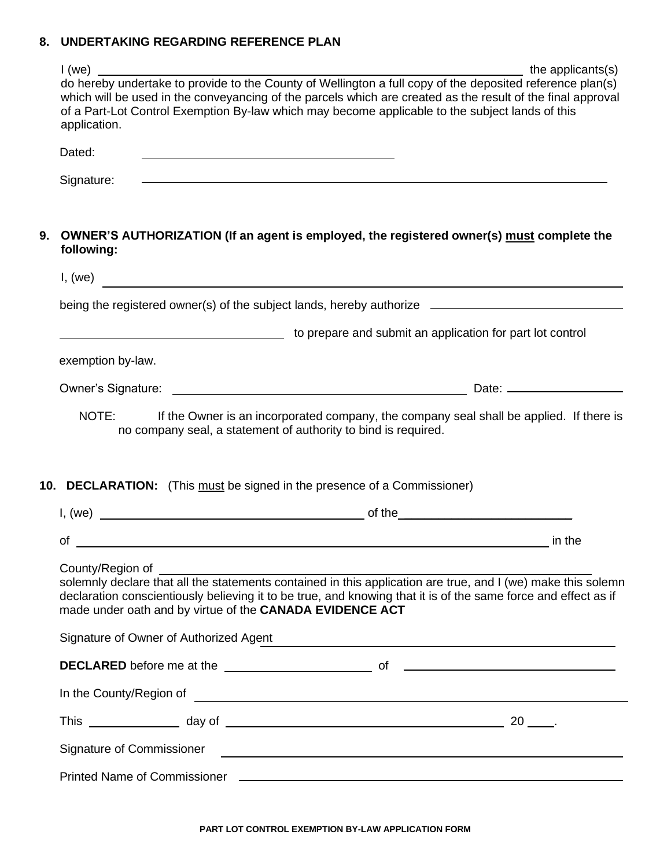#### **8. UNDERTAKING REGARDING REFERENCE PLAN**

|    | application.                           | which will be used in the conveyancing of the parcels which are created as the result of the final approval<br>of a Part-Lot Control Exemption By-law which may become applicable to the subject lands of this                                                                             |
|----|----------------------------------------|--------------------------------------------------------------------------------------------------------------------------------------------------------------------------------------------------------------------------------------------------------------------------------------------|
|    | Dated:                                 |                                                                                                                                                                                                                                                                                            |
|    | Signature:                             | ,我们也不会有一个人的人,我们也不会有一个人的人,我们也不会有一个人的人。""我们,我们也不会有一个人的人,我们也不会有一个人的人。""我们,我们也不会有一个人                                                                                                                                                                                                           |
| 9. | following:                             | OWNER'S AUTHORIZATION (If an agent is employed, the registered owner(s) must complete the                                                                                                                                                                                                  |
|    | I, (we)                                | <u> 1989 - Jan Samuel Barbara, margaret eta idazlea (h. 1989).</u>                                                                                                                                                                                                                         |
|    |                                        | being the registered owner(s) of the subject lands, hereby authorize ______________________________                                                                                                                                                                                        |
|    |                                        | to prepare and submit an application for part lot control                                                                                                                                                                                                                                  |
|    | exemption by-law.                      |                                                                                                                                                                                                                                                                                            |
|    |                                        |                                                                                                                                                                                                                                                                                            |
|    | NOTE:                                  | If the Owner is an incorporated company, the company seal shall be applied. If there is<br>no company seal, a statement of authority to bind is required.<br>10. DECLARATION: (This must be signed in the presence of a Commissioner)                                                      |
|    |                                        | of the                                                                                                                                                                                                                                                                                     |
|    | of                                     | in the                                                                                                                                                                                                                                                                                     |
|    | County/Region of                       | solemnly declare that all the statements contained in this application are true, and I (we) make this solemn<br>declaration conscientiously believing it to be true, and knowing that it is of the same force and effect as if<br>made under oath and by virtue of the CANADA EVIDENCE ACT |
|    | Signature of Owner of Authorized Agent | <u> 1989 - Johann Barbara, martxa eta idazlea (h. 1989).</u>                                                                                                                                                                                                                               |
|    |                                        |                                                                                                                                                                                                                                                                                            |
|    |                                        | In the County/Region of <b>County/Region of</b>                                                                                                                                                                                                                                            |
|    |                                        |                                                                                                                                                                                                                                                                                            |
|    |                                        |                                                                                                                                                                                                                                                                                            |
|    |                                        |                                                                                                                                                                                                                                                                                            |
|    |                                        |                                                                                                                                                                                                                                                                                            |